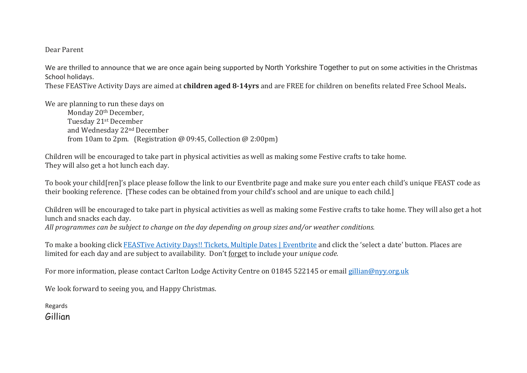## Dear Parent

We are thrilled to announce that we are once again being supported by North Yorkshire Together to put on some activities in the Christmas School holidays.

These FEASTive Activity Days are aimed at **children aged 8-14yrs** and are FREE for children on benefits related Free School Meals**.**

We are planning to run these days on

Monday 20<sup>th</sup> December, Tuesday 21st December and Wednesday 22nd December from 10am to 2pm. (Registration @ 09:45, Collection @ 2:00pm)

Children will be encouraged to take part in physical activities as well as making some Festive crafts to take home. They will also get a hot lunch each day.

To book your child[ren]'s place please follow the link to our Eventbrite page and make sure you enter each child's unique FEAST code as their booking reference. [These codes can be obtained from your child's school and are unique to each child.]

Children will be encouraged to take part in physical activities as well as making some Festive crafts to take home. They will also get a hot lunch and snacks each day.

*All programmes can be subject to change on the day depending on group sizes and/or weather conditions.*

To make a booking click FEASTive Activity Days!! Tickets, Multiple Dates | [Eventbrite](https://www.eventbrite.co.uk/e/feastive-activity-days-tickets-220594402797?aff=ebdssbonlinesearch) and click the 'select a date' button. Places are limited for each day and are subject to availability. Don't forget to include your *unique code.*

For more information, please contact Carlton Lodge Activity Centre on 01845 522145 or email [gillian@nyy.org.uk](mailto:gillian@nyy.org.uk)

We look forward to seeing you, and Happy Christmas.

Regards

Gillian